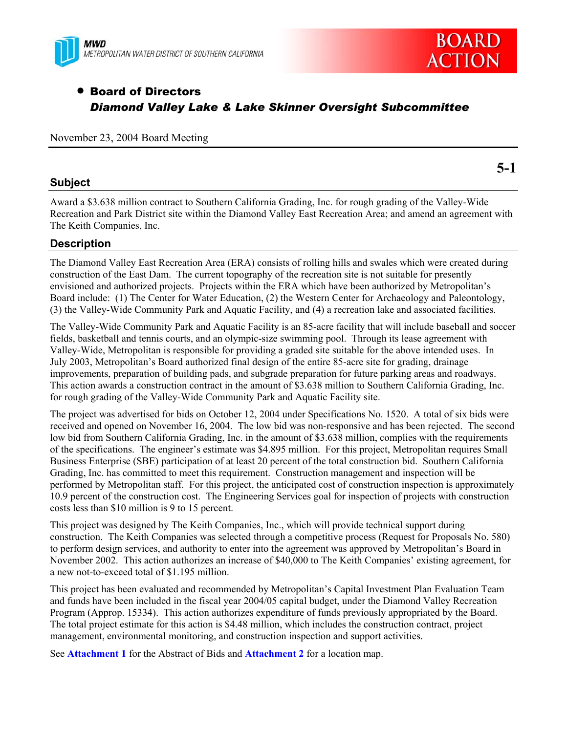



# • Board of Directors *Diamond Valley Lake & Lake Skinner Oversight Subcommittee*

November 23, 2004 Board Meeting

## **Subject**

**5-1** 

Award a \$3.638 million contract to Southern California Grading, Inc. for rough grading of the Valley-Wide Recreation and Park District site within the Diamond Valley East Recreation Area; and amend an agreement with The Keith Companies, Inc.

## **Description**

The Diamond Valley East Recreation Area (ERA) consists of rolling hills and swales which were created during construction of the East Dam. The current topography of the recreation site is not suitable for presently envisioned and authorized projects. Projects within the ERA which have been authorized by Metropolitan's Board include: (1) The Center for Water Education, (2) the Western Center for Archaeology and Paleontology, (3) the Valley-Wide Community Park and Aquatic Facility, and (4) a recreation lake and associated facilities.

The Valley-Wide Community Park and Aquatic Facility is an 85-acre facility that will include baseball and soccer fields, basketball and tennis courts, and an olympic-size swimming pool. Through its lease agreement with Valley-Wide, Metropolitan is responsible for providing a graded site suitable for the above intended uses. In July 2003, Metropolitan's Board authorized final design of the entire 85-acre site for grading, drainage improvements, preparation of building pads, and subgrade preparation for future parking areas and roadways. This action awards a construction contract in the amount of \$3.638 million to Southern California Grading, Inc. for rough grading of the Valley-Wide Community Park and Aquatic Facility site.

The project was advertised for bids on October 12, 2004 under Specifications No. 1520. A total of six bids were received and opened on November 16, 2004. The low bid was non-responsive and has been rejected. The second low bid from Southern California Grading, Inc. in the amount of \$3.638 million, complies with the requirements of the specifications. The engineer's estimate was \$4.895 million. For this project, Metropolitan requires Small Business Enterprise (SBE) participation of at least 20 percent of the total construction bid. Southern California Grading, Inc. has committed to meet this requirement. Construction management and inspection will be performed by Metropolitan staff. For this project, the anticipated cost of construction inspection is approximately 10.9 percent of the construction cost. The Engineering Services goal for inspection of projects with construction costs less than \$10 million is 9 to 15 percent.

This project was designed by The Keith Companies, Inc., which will provide technical support during construction. The Keith Companies was selected through a competitive process (Request for Proposals No. 580) to perform design services, and authority to enter into the agreement was approved by Metropolitan's Board in November 2002. This action authorizes an increase of \$40,000 to The Keith Companies' existing agreement, for a new not-to-exceed total of \$1.195 million.

This project has been evaluated and recommended by Metropolitan's Capital Investment Plan Evaluation Team and funds have been included in the fiscal year 2004/05 capital budget, under the Diamond Valley Recreation Program (Approp. 15334). This action authorizes expenditure of funds previously appropriated by the Board. The total project estimate for this action is \$4.48 million, which includes the construction contract, project management, environmental monitoring, and construction inspection and support activities.

See **Attachment 1** for the Abstract of Bids and **Attachment 2** for a location map.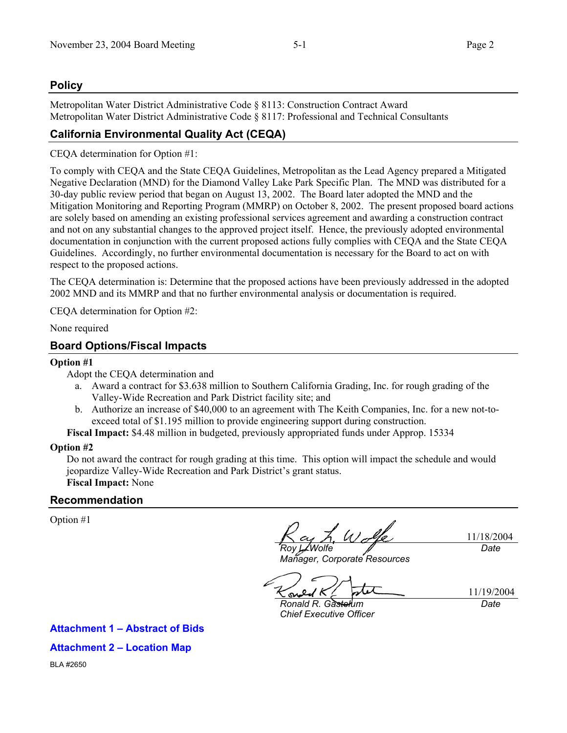# **Policy**

Metropolitan Water District Administrative Code § 8113: Construction Contract Award Metropolitan Water District Administrative Code § 8117: Professional and Technical Consultants

# **California Environmental Quality Act (CEQA)**

CEQA determination for Option #1:

To comply with CEQA and the State CEQA Guidelines, Metropolitan as the Lead Agency prepared a Mitigated Negative Declaration (MND) for the Diamond Valley Lake Park Specific Plan. The MND was distributed for a 30-day public review period that began on August 13, 2002. The Board later adopted the MND and the Mitigation Monitoring and Reporting Program (MMRP) on October 8, 2002. The present proposed board actions are solely based on amending an existing professional services agreement and awarding a construction contract and not on any substantial changes to the approved project itself. Hence, the previously adopted environmental documentation in conjunction with the current proposed actions fully complies with CEQA and the State CEQA Guidelines. Accordingly, no further environmental documentation is necessary for the Board to act on with respect to the proposed actions.

The CEQA determination is: Determine that the proposed actions have been previously addressed in the adopted 2002 MND and its MMRP and that no further environmental analysis or documentation is required.

CEQA determination for Option #2:

None required

## **Board Options/Fiscal Impacts**

## **Option #1**

Adopt the CEQA determination and

- a. Award a contract for \$3.638 million to Southern California Grading, Inc. for rough grading of the Valley-Wide Recreation and Park District facility site; and
- b. Authorize an increase of \$40,000 to an agreement with The Keith Companies, Inc. for a new not-toexceed total of \$1.195 million to provide engineering support during construction.

**Fiscal Impact:** \$4.48 million in budgeted, previously appropriated funds under Approp. 15334

## **Option #2**

Do not award the contract for rough grading at this time. This option will impact the schedule and would jeopardize Valley-Wide Recreation and Park District's grant status. **Fiscal Impact:** None

## **Recommendation**

Option #1

Wolk 11/18/2004 *Roy L. Wolfe Date* 

*Manager, Corporate Resources* 

11/19/2004 ິ

*Ronald R. Gastelum Chief Executive Officer* 

*Date* 

## **Attachment 1 – Abstract of Bids**

**Attachment 2 – Location Map** 

BLA #2650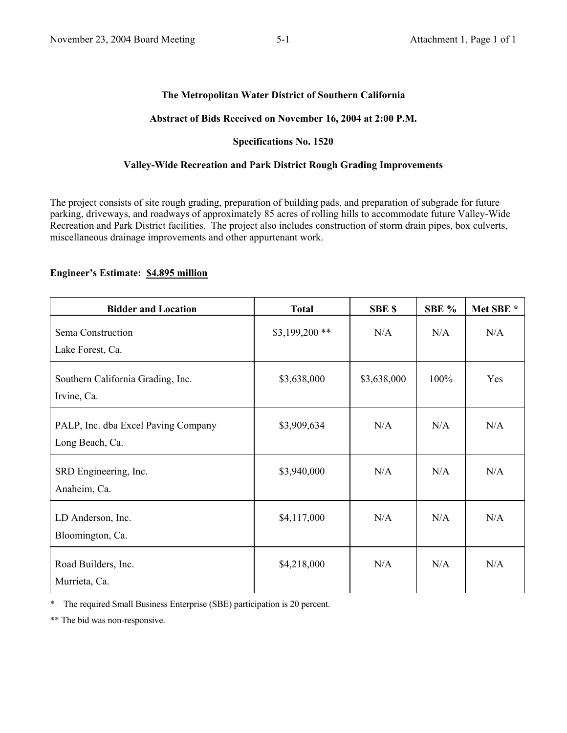#### **The Metropolitan Water District of Southern California**

#### **Abstract of Bids Received on November 16, 2004 at 2:00 P.M.**

#### **Specifications No. 1520**

#### **Valley-Wide Recreation and Park District Rough Grading Improvements**

The project consists of site rough grading, preparation of building pads, and preparation of subgrade for future parking, driveways, and roadways of approximately 85 acres of rolling hills to accommodate future Valley-Wide Recreation and Park District facilities. The project also includes construction of storm drain pipes, box culverts, miscellaneous drainage improvements and other appurtenant work.

#### **Engineer's Estimate: \$4.895 million**

| <b>Bidder and Location</b>                             | <b>Total</b>    | <b>SBE \$</b> | SBE % | Met SBE * |
|--------------------------------------------------------|-----------------|---------------|-------|-----------|
| Sema Construction<br>Lake Forest, Ca.                  | $$3,199,200$ ** | N/A           | N/A   | N/A       |
| Southern California Grading, Inc.<br>Irvine, Ca.       | \$3,638,000     | \$3,638,000   | 100%  | Yes       |
| PALP, Inc. dba Excel Paving Company<br>Long Beach, Ca. | \$3,909,634     | N/A           | N/A   | N/A       |
| SRD Engineering, Inc.<br>Anaheim, Ca.                  | \$3,940,000     | N/A           | N/A   | N/A       |
| LD Anderson, Inc.<br>Bloomington, Ca.                  | \$4,117,000     | N/A           | N/A   | N/A       |
| Road Builders, Inc.<br>Murrieta, Ca.                   | \$4,218,000     | N/A           | N/A   | N/A       |

\* The required Small Business Enterprise (SBE) participation is 20 percent.

\*\* The bid was non-responsive.